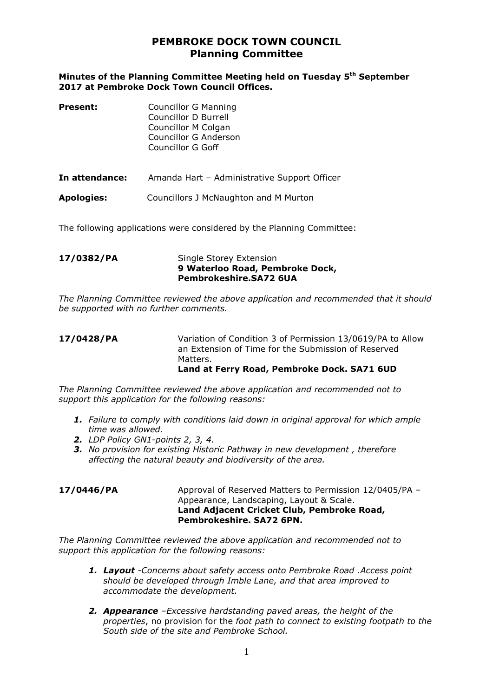# **PEMBROKE DOCK TOWN COUNCIL Planning Committee**

## **Minutes of the Planning Committee Meeting held on Tuesday 5 th September 2017 at Pembroke Dock Town Council Offices.**

| <b>Present:</b>   | <b>Councillor G Manning</b><br>Councillor D Burrell<br>Councillor M Colgan<br>Councillor G Anderson<br><b>Councillor G Goff</b> |
|-------------------|---------------------------------------------------------------------------------------------------------------------------------|
| In attendance:    | Amanda Hart - Administrative Support Officer                                                                                    |
| <b>Apologies:</b> | Councillors J McNaughton and M Murton                                                                                           |

The following applications were considered by the Planning Committee:

## **17/0382/PA** Single Storey Extension **9 Waterloo Road, Pembroke Dock, Pembrokeshire.SA72 6UA**

*The Planning Committee reviewed the above application and recommended that it should be supported with no further comments.*

## **17/0428/PA** Variation of Condition 3 of Permission 13/0619/PA to Allow an Extension of Time for the Submission of Reserved Matters. **Land at Ferry Road, Pembroke Dock. SA71 6UD**

*The Planning Committee reviewed the above application and recommended not to support this application for the following reasons:*

- *1. Failure to comply with conditions laid down in original approval for which ample time was allowed.*
- *2. LDP Policy GN1-points 2, 3, 4.*
- *3. No provision for existing Historic Pathway in new development , therefore affecting the natural beauty and biodiversity of the area.*

**17/0446/PA** Approval of Reserved Matters to Permission 12/0405/PA – Appearance, Landscaping, Layout & Scale. **Land Adjacent Cricket Club, Pembroke Road, Pembrokeshire. SA72 6PN.**

*The Planning Committee reviewed the above application and recommended not to support this application for the following reasons:*

- *1. Layout -Concerns about safety access onto Pembroke Road .Access point should be developed through Imble Lane, and that area improved to accommodate the development.*
- *2. Appearance –Excessive hardstanding paved areas, the height of the properties*, no provision for the *foot path to connect to existing footpath to the South side of the site and Pembroke School.*